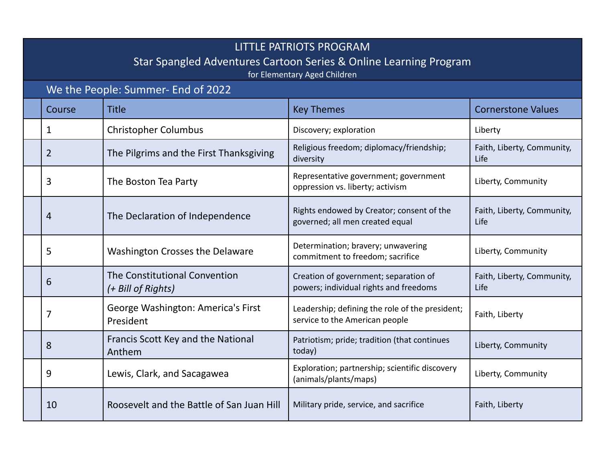## LITTLE PATRIOTS PROGRAM

## Star Spangled Adventures Cartoon Series & Online Learning Program

for Elementary Aged Children

| for Elementary Aged Children |                                    |                                                     |                                                                                   |                                    |  |  |  |
|------------------------------|------------------------------------|-----------------------------------------------------|-----------------------------------------------------------------------------------|------------------------------------|--|--|--|
|                              | We the People: Summer- End of 2022 |                                                     |                                                                                   |                                    |  |  |  |
|                              | Course                             | <b>Title</b>                                        | <b>Key Themes</b>                                                                 | <b>Cornerstone Values</b>          |  |  |  |
|                              | 1                                  | <b>Christopher Columbus</b>                         | Discovery; exploration                                                            | Liberty                            |  |  |  |
|                              | $\overline{2}$                     | The Pilgrims and the First Thanksgiving             | Religious freedom; diplomacy/friendship;<br>diversity                             | Faith, Liberty, Community,<br>Life |  |  |  |
|                              | 3                                  | The Boston Tea Party                                | Representative government; government<br>oppression vs. liberty; activism         | Liberty, Community                 |  |  |  |
|                              | 4                                  | The Declaration of Independence                     | Rights endowed by Creator; consent of the<br>governed; all men created equal      | Faith, Liberty, Community,<br>Life |  |  |  |
|                              | 5                                  | <b>Washington Crosses the Delaware</b>              | Determination; bravery; unwavering<br>commitment to freedom; sacrifice            | Liberty, Community                 |  |  |  |
|                              | 6                                  | The Constitutional Convention<br>(+ Bill of Rights) | Creation of government; separation of<br>powers; individual rights and freedoms   | Faith, Liberty, Community,<br>Life |  |  |  |
|                              | 7                                  | George Washington: America's First<br>President     | Leadership; defining the role of the president;<br>service to the American people | Faith, Liberty                     |  |  |  |
|                              | 8                                  | Francis Scott Key and the National<br>Anthem        | Patriotism; pride; tradition (that continues<br>today)                            | Liberty, Community                 |  |  |  |
|                              | 9                                  | Lewis, Clark, and Sacagawea                         | Exploration; partnership; scientific discovery<br>(animals/plants/maps)           | Liberty, Community                 |  |  |  |

10 Roosevelt and the Battle of San Juan Hill | Military pride, service, and sacrifice Faith, Liberty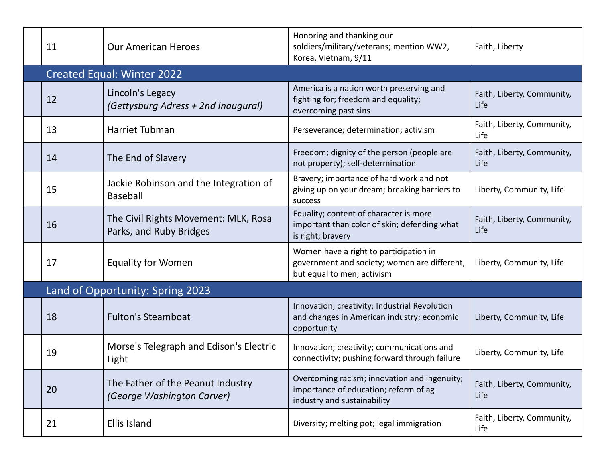|                                  | 11                                | <b>Our American Heroes</b>                                      | Honoring and thanking our<br>soldiers/military/veterans; mention WW2,<br>Korea, Vietnam, 9/11                        | Faith, Liberty                     |  |  |  |
|----------------------------------|-----------------------------------|-----------------------------------------------------------------|----------------------------------------------------------------------------------------------------------------------|------------------------------------|--|--|--|
|                                  | <b>Created Equal: Winter 2022</b> |                                                                 |                                                                                                                      |                                    |  |  |  |
|                                  | 12                                | Lincoln's Legacy<br>(Gettysburg Adress + 2nd Inaugural)         | America is a nation worth preserving and<br>fighting for; freedom and equality;<br>overcoming past sins              | Faith, Liberty, Community,<br>Life |  |  |  |
|                                  | 13                                | <b>Harriet Tubman</b>                                           | Perseverance; determination; activism                                                                                | Faith, Liberty, Community,<br>Life |  |  |  |
|                                  | 14                                | The End of Slavery                                              | Freedom; dignity of the person (people are<br>not property); self-determination                                      | Faith, Liberty, Community,<br>Life |  |  |  |
|                                  | 15                                | Jackie Robinson and the Integration of<br><b>Baseball</b>       | Bravery; importance of hard work and not<br>giving up on your dream; breaking barriers to<br>success                 | Liberty, Community, Life           |  |  |  |
|                                  | 16                                | The Civil Rights Movement: MLK, Rosa<br>Parks, and Ruby Bridges | Equality; content of character is more<br>important than color of skin; defending what<br>is right; bravery          | Faith, Liberty, Community,<br>Life |  |  |  |
|                                  | 17                                | <b>Equality for Women</b>                                       | Women have a right to participation in<br>government and society; women are different,<br>but equal to men; activism | Liberty, Community, Life           |  |  |  |
| Land of Opportunity: Spring 2023 |                                   |                                                                 |                                                                                                                      |                                    |  |  |  |
|                                  | 18                                | <b>Fulton's Steamboat</b>                                       | Innovation; creativity; Industrial Revolution<br>and changes in American industry; economic<br>opportunity           | Liberty, Community, Life           |  |  |  |
|                                  | 19                                | Morse's Telegraph and Edison's Electric<br>Light                | Innovation; creativity; communications and<br>connectivity; pushing forward through failure                          | Liberty, Community, Life           |  |  |  |
|                                  | 20                                | The Father of the Peanut Industry<br>(George Washington Carver) | Overcoming racism; innovation and ingenuity;<br>importance of education; reform of ag<br>industry and sustainability | Faith, Liberty, Community,<br>Life |  |  |  |
|                                  | 21                                | Ellis Island                                                    | Diversity; melting pot; legal immigration                                                                            | Faith, Liberty, Community,<br>Life |  |  |  |